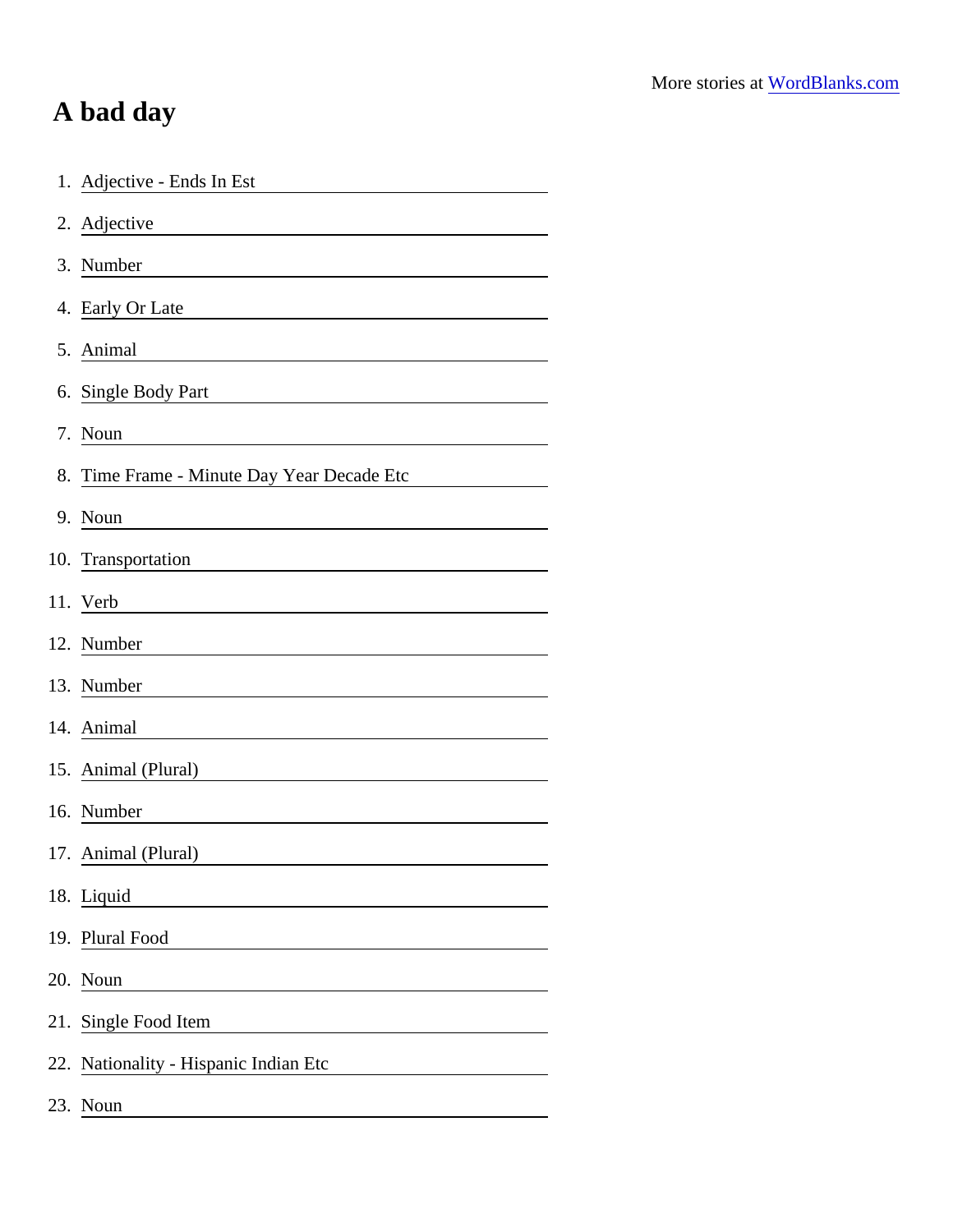## A bad day

| 1. Adjective - Ends In Est                                            |
|-----------------------------------------------------------------------|
| 2. Adjective                                                          |
| 3. Number                                                             |
| 4. Early Or Late                                                      |
| 5. Animal                                                             |
| 6. Single Body Part                                                   |
| 7. Noun                                                               |
| 8. Time Frame - Minute Day Year Decade Etc                            |
| 9. Noun                                                               |
| 10. Transportation                                                    |
| 11. Verb                                                              |
| 12. Number                                                            |
| 13. Number                                                            |
| 14. Animal                                                            |
| 15. Animal (Plural)                                                   |
| 16. Number                                                            |
| 17. Animal (Plural)                                                   |
| 18. Liquid                                                            |
| 19. Plural Food                                                       |
| 20. Noun<br><u> 1980 - Andrea Station Books, amerikansk politik (</u> |
| 21. Single Food Item                                                  |
| 22. Nationality - Hispanic Indian Etc                                 |
| 23. Noun                                                              |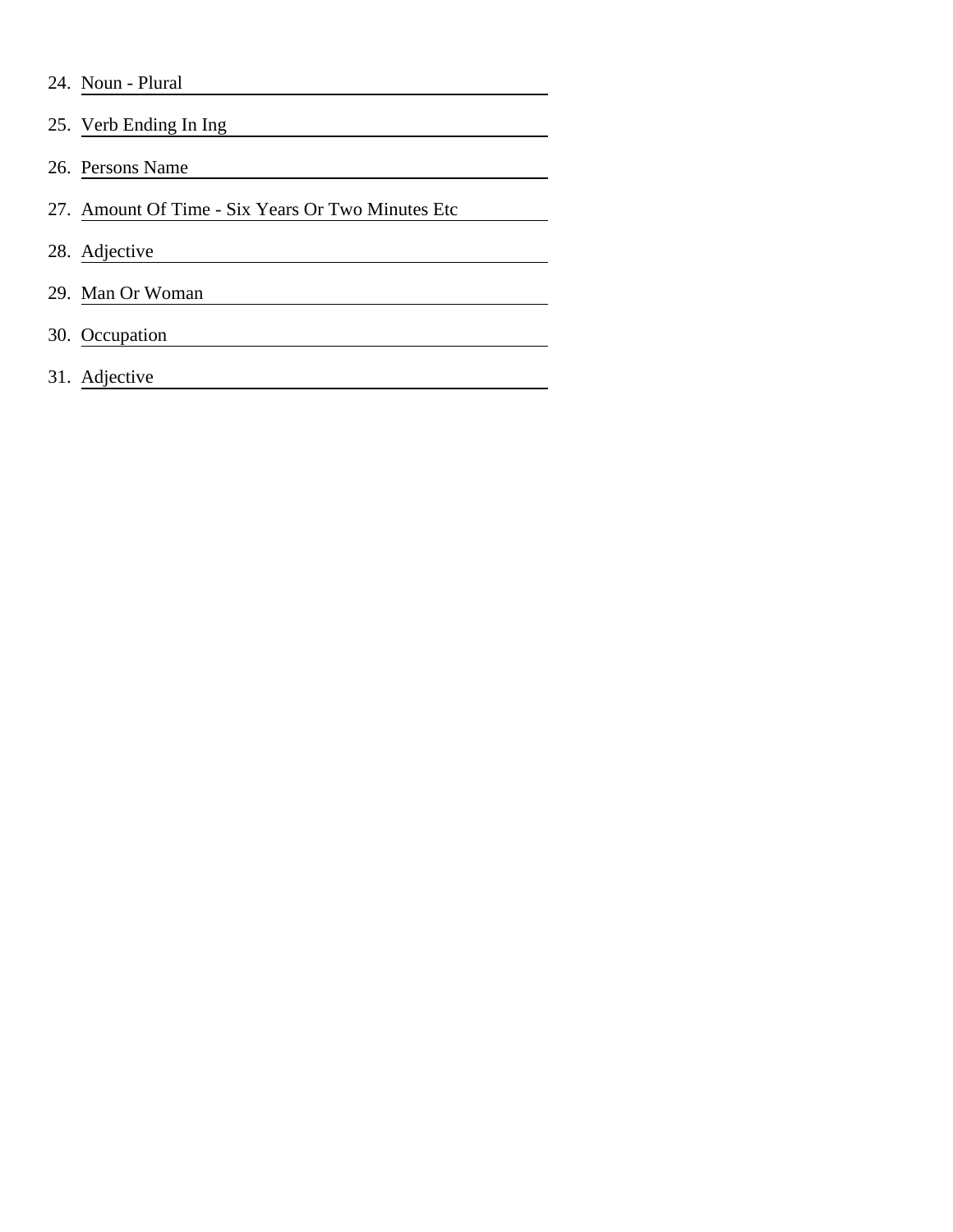|  | 24. Noun - Plural |  |
|--|-------------------|--|
|--|-------------------|--|

25. Verb Ending In Ing 26. Persons Name 27. Amount Of Time - Six Years Or Two Minutes Etc 28. Adjective <u> 1980 - Johann Barn, mars an t-Amerikaansk politiker (</u> 29. Man Or Woman 30. Occupation <u> 1980 - Johann Barn, mars an t-Amerikaansk ferskeinder (</u>

31. Adjective